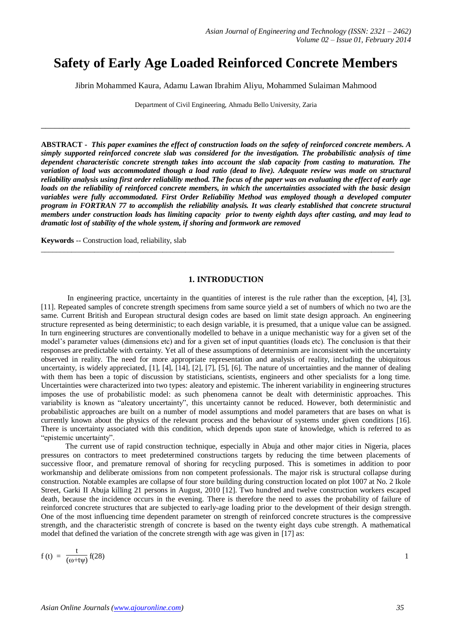# **Safety of Early Age Loaded Reinforced Concrete Members**

Jibrin Mohammed Kaura, Adamu Lawan Ibrahim Aliyu, Mohammed Sulaiman Mahmood

Department of Civil Engineering, Ahmadu Bello University, Zaria

\_\_\_\_\_\_\_\_\_\_\_\_\_\_\_\_\_\_\_\_\_\_\_\_\_\_\_\_\_\_\_\_\_\_\_\_\_\_\_\_\_\_\_\_\_\_\_\_\_\_\_\_\_\_\_\_\_\_\_\_\_\_\_\_\_\_\_\_\_\_\_\_\_\_\_\_\_\_\_\_\_

**ABSTRACT -** *This paper examines the effect of construction loads on the safety of reinforced concrete members. A simply supported reinforced concrete slab was considered for the investigation. The probabilistic analysis of time dependent characteristic concrete strength takes into account the slab capacity from casting to maturation. The variation of load was accommodated though a load ratio (dead to live). Adequate review was made on structural reliability analysis using first order reliability method. The focus of the paper was on evaluating the effect of early age loads on the reliability of reinforced concrete members, in which the uncertainties associated with the basic design variables were fully accommodated. First Order Reliability Method was employed though a developed computer program in FORTRAN 77 to accomplish the reliability analysis. It was clearly established that concrete structural members under construction loads has limiting capacity prior to twenty eighth days after casting, and may lead to dramatic lost of stability of the whole system, if shoring and formwork are removed*

**Keywords** -- Construction load, reliability, slab

# **1. INTRODUCTION**

 $\_$  ,  $\_$  ,  $\_$  ,  $\_$  ,  $\_$  ,  $\_$  ,  $\_$  ,  $\_$  ,  $\_$  ,  $\_$  ,  $\_$  ,  $\_$  ,  $\_$  ,  $\_$  ,  $\_$  ,  $\_$  ,  $\_$  ,  $\_$  ,  $\_$  ,  $\_$  ,  $\_$  ,  $\_$  ,  $\_$  ,  $\_$  ,  $\_$  ,  $\_$  ,  $\_$  ,  $\_$  ,  $\_$  ,  $\_$  ,  $\_$  ,  $\_$  ,  $\_$  ,  $\_$  ,  $\_$  ,  $\_$  ,  $\_$  ,

In engineering practice, uncertainty in the quantities of interest is the rule rather than the exception, [4], [3], [11]. Repeated samples of concrete strength specimens from same source yield a set of numbers of which no two are the same. Current British and European structural design codes are based on limit state design approach. An engineering structure represented as being deterministic; to each design variable, it is presumed, that a unique value can be assigned. In turn engineering structures are conventionally modelled to behave in a unique mechanistic way for a given set of the model's parameter values (dimensions etc) and for a given set of input quantities (loads etc). The conclusion is that their responses are predictable with certainty. Yet all of these assumptions of determinism are inconsistent with the uncertainty observed in reality. The need for more appropriate representation and analysis of reality, including the ubiquitous uncertainty, is widely appreciated, [1], [4], [14], [2], [7], [5], [6]. The nature of uncertainties and the manner of dealing with them has been a topic of discussion by statisticians, scientists, engineers and other specialists for a long time. Uncertainties were characterized into two types: aleatory and epistemic. The inherent variability in engineering structures imposes the use of probabilistic model: as such phenomena cannot be dealt with deterministic approaches. This variability is known as "aleatory uncertainty", this uncertainty cannot be reduced. However, both deterministic and probabilistic approaches are built on a number of model assumptions and model parameters that are bases on what is currently known about the physics of the relevant process and the behaviour of systems under given conditions [16]. There is uncertainty associated with this condition, which depends upon state of knowledge, which is referred to as "epistemic uncertainty".

 The current use of rapid construction technique, especially in Abuja and other major cities in Nigeria, places pressures on contractors to meet predetermined constructions targets by reducing the time between placements of successive floor, and premature removal of shoring for recycling purposed. This is sometimes in addition to poor workmanship and deliberate omissions from non competent professionals. The major risk is structural collapse during construction. Notable examples are collapse of four store building during construction located on plot 1007 at No. 2 Ikole Street, Garki II Abuja killing 21 persons in August, 2010 [12]. Two hundred and twelve construction workers escaped death, because the incidence occurs in the evening. There is therefore the need to asses the probability of failure of reinforced concrete structures that are subjected to early-age loading prior to the development of their design strength. One of the most influencing time dependent parameter on strength of reinforced concrete structures is the compressive strength, and the characteristic strength of concrete is based on the twenty eight days cube strength. A mathematical model that defined the variation of the concrete strength with age was given in [17] as:

 $f(t) = \frac{t}{\sqrt{c}}$  $(\omega + t\psi)$ f(28)  $1$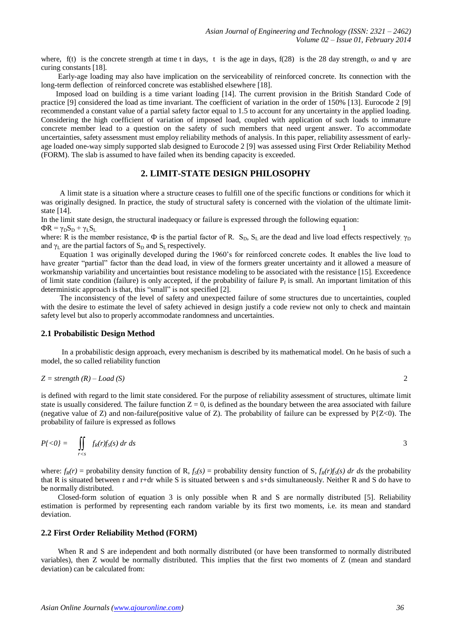where, f(t) is the concrete strength at time t in days, t is the age in days, f(28) is the 28 day strength,  $\omega$  and  $\psi$  are curing constants [18].

 Early-age loading may also have implication on the serviceability of reinforced concrete. Its connection with the long-term deflection of reinforced concrete was established elsewhere [18].

 Imposed load on building is a time variant loading [14]. The current provision in the British Standard Code of practice [9] considered the load as time invariant. The coefficient of variation in the order of 150% [13]. Eurocode 2 [9] recommended a constant value of a partial safety factor equal to 1.5 to account for any uncertainty in the applied loading. Considering the high coefficient of variation of imposed load, coupled with application of such loads to immature concrete member lead to a question on the safety of such members that need urgent answer. To accommodate uncertainties, safety assessment must employ reliability methods of analysis. In this paper, reliability assessment of earlyage loaded one-way simply supported slab designed to Eurocode 2 [9] was assessed using First Order Reliability Method (FORM). The slab is assumed to have failed when its bending capacity is exceeded.

## **2. LIMIT-STATE DESIGN PHILOSOPHY**

 A limit state is a situation where a structure ceases to fulfill one of the specific functions or conditions for which it was originally designed. In practice, the study of structural safety is concerned with the violation of the ultimate limitstate [14].

In the limit state design, the structural inadequacy or failure is expressed through the following equation:  $\Phi R = \gamma_D S_D + \gamma_L S_L$ 1

where: R is the member resistance,  $\Phi$  is the partial factor of R. S<sub>D</sub>, S<sub>L</sub> are the dead and live load effects respectively.  $\gamma_D$ and  $\gamma_L$  are the partial factors of  $S_D$  and  $S_L$  respectively.

 Equation 1 was originally developed during the 1960's for reinforced concrete codes. It enables the live load to have greater "partial" factor than the dead load, in view of the formers greater uncertainty and it allowed a measure of workmanship variability and uncertainties bout resistance modeling to be associated with the resistance [15]. Exceedence of limit state condition (failure) is only accepted, if the probability of failure  $P_f$  is small. An important limitation of this deterministic approach is that, this "small" is not specified [2].

 The inconsistency of the level of safety and unexpected failure of some structures due to uncertainties, coupled with the desire to estimate the level of safety achieved in design justify a code review not only to check and maintain safety level but also to properly accommodate randomness and uncertainties.

# **2.1 Probabilistic Design Method**

 In a probabilistic design approach, every mechanism is described by its mathematical model. On he basis of such a model, the so called reliability function

$$
Z = strength(R) - Load(S)
$$

is defined with regard to the limit state considered. For the purpose of reliability assessment of structures, ultimate limit state is usually considered. The failure function  $Z = 0$ , is defined as the boundary between the area associated with failure (negative value of Z) and non-failure(positive value of Z). The probability of failure can be expressed by  $P(Z<0)$ . The probability of failure is expressed as follows

$$
P\{<0\} = \iint\limits_{r
$$

where:  $f_R(r)$  = probability density function of R,  $f_S(s)$  = probability density function of S,  $f_R(r)f_S(s)$  dr ds the probability that R is situated between r and r+dr while S is situated between s and s+ds simultaneously. Neither R and S do have to be normally distributed.

 Closed-form solution of equation 3 is only possible when R and S are normally distributed [5]. Reliability estimation is performed by representing each random variable by its first two moments, i.e. its mean and standard deviation.

#### **2.2 First Order Reliability Method (FORM)**

When R and S are independent and both normally distributed (or have been transformed to normally distributed variables), then Z would be normally distributed. This implies that the first two moments of Z (mean and standard deviation) can be calculated from: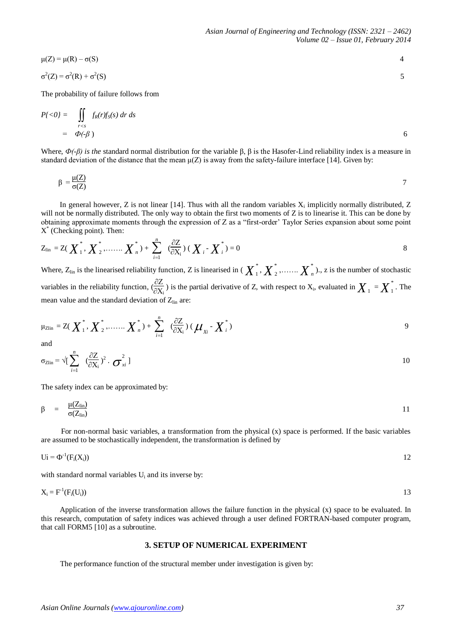$$
\mu(Z) = \mu(R) - \sigma(S)
$$
  
\n
$$
\sigma^2(Z) = \sigma^2(R) + \sigma^2(S)
$$

The probability of failure follows from

$$
P\{<0\} = \iint\limits_{r
$$
= \Phi(-\beta) \tag{6}
$$
$$

Where, *Ф(-β) is the* standard normal distribution for the variable β, β is the Hasofer-Lind reliability index is a measure in standard deviation of the distance that the mean  $\mu(Z)$  is away from the safety-failure interface [14]. Given by:

$$
\beta = \frac{\mu(Z)}{\sigma(Z)}
$$

In general however, Z is not linear [14]. Thus with all the random variables  $X_i$  implicitly normally distributed, Z will not be normally distributed. The only way to obtain the first two moments of  $Z$  is to linearise it. This can be done by obtaining approximate moments through the expression of Z as a "first-order' Taylor Series expansion about some point X \* (Checking point). Then:

$$
Z_{\text{lin}} = Z(\overline{X}_1^*, \overline{X}_2^*, \dots \dots \overline{X}_n^*) + \sum_{i=1}^n (\frac{\partial Z}{\partial X_i})(\overline{X}_i - \overline{X}_i^*) = 0
$$

Where,  $Z_{\text{lin}}$  is the linearised reliability function, Z is linearised in (  $\chi^*_1$  $_{1}^{\ast},\boldsymbol{\mathop{X}\nolimits}_{2}^{\ast}$  $\sum_{i=1}^{n}$   $\ldots$  *X*  $\sum_{i=1}^{n}$   $\ldots$  *z* is the number of stochastic variables in the reliability function,  $\frac{\partial Z}{\partial x}$  $\frac{\partial Z}{\partial X_i}$ ) is the partial derivative of Z, with respect to  $X_i$ , evaluated in  $\boldsymbol{X}_1 = \boldsymbol{X}_1^*$  $_1$  . The mean value and the standard deviation of  $Z_{lin}$  are:

$$
\mu_{\text{Zlin}} = Z(\boldsymbol{X}_{1}^{*}, \boldsymbol{X}_{2}^{*}, \dots \dots \boldsymbol{X}_{n}^{*}) + \sum_{i=1}^{n} (\frac{\partial Z}{\partial X_{i}}) (\boldsymbol{\mu}_{X_{i}} - \boldsymbol{X}_{i}^{*})
$$

and

$$
\sigma_{\text{Zlin}} = \sqrt{\left[\sum_{i=1}^{n} \left(\frac{\partial Z}{\partial X_i}\right)^2 \cdot \boldsymbol{\sigma}_{xi}^2\right]}
$$

The safety index can be approximated by:

$$
\beta = \frac{\mu(Z_{\text{lin}})}{\sigma(Z_{\text{lin}})} \tag{11}
$$

 For non-normal basic variables, a transformation from the physical (x) space is performed. If the basic variables are assumed to be stochastically independent, the transformation is defined by

$$
Ui = \Phi^{-1}(F_i(X_i))
$$

with standard normal variables  $U_i$  and its inverse by:

$$
X_i = F^{-1}(F_i(U_i))
$$

 Application of the inverse transformation allows the failure function in the physical (x) space to be evaluated. In this research, computation of safety indices was achieved through a user defined FORTRAN-based computer program, that call FORM5 [10] as a subroutine.

#### **3. SETUP OF NUMERICAL EXPERIMENT**

The performance function of the structural member under investigation is given by: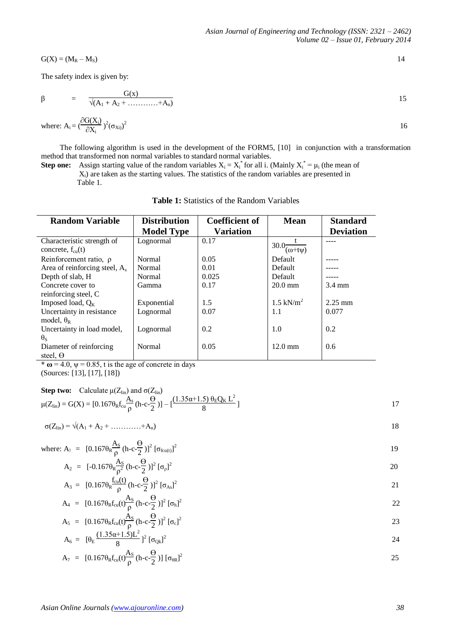$$
G(X) = (M_R - M_S) \tag{14}
$$

The safety index is given by:

$$
\beta = \frac{G(x)}{\sqrt{(A_1 + A_2 + \dots + A_n)}}
$$
 15

where: 
$$
A_i = \left(\frac{\partial G(X_i)}{\partial X_i}\right)^2 (\sigma_{Xi})^2
$$
 16

 The following algorithm is used in the development of the FORM5, [10] in conjunction with a transformation method that transformed non normal variables to standard normal variables.

**Step one:** Assign starting value of the random variables  $X_i = X_i^*$  for all i. (Mainly  $X_i^* = \mu_i$  (the mean of Xi) are taken as the starting values. The statistics of the random variables are presented in Table 1.

| <b>Random Variable</b>                                     | <b>Distribution</b> | <b>Coefficient of</b> | <b>Mean</b>                        | <b>Standard</b>  |
|------------------------------------------------------------|---------------------|-----------------------|------------------------------------|------------------|
|                                                            | <b>Model Type</b>   | <b>Variation</b>      |                                    | <b>Deviation</b> |
| Characteristic strength of<br>concrete, $f_{\text{cu}}(t)$ | Lognormal           | 0.17                  | $130.0\overline{(\omega + t\psi)}$ |                  |
| Reinforcement ratio, $\rho$                                | Normal              | 0.05                  | Default                            |                  |
| Area of reinforcing steel, $A_s$                           | Normal              | 0.01                  | Default                            |                  |
| Depth of slab, H                                           | Normal              | 0.025                 | Default                            |                  |
| Concrete cover to                                          | Gamma               | 0.17                  | $20.0$ mm                          | $3.4 \text{ mm}$ |
| reinforcing steel, C                                       |                     |                       |                                    |                  |
| Imposed load, $Q_K$                                        | Exponential         | 1.5                   | $1.5 \text{ kN/m}^2$               | $2.25$ mm        |
| Uncertainty in resistance                                  | Lognormal           | 0.07                  | 1.1                                | 0.077            |
| model, $\theta_R$                                          |                     |                       |                                    |                  |
| Uncertainty in load model,                                 | Lognormal           | 0.2                   | 1.0                                | 0.2              |
| $\theta_{\rm s}$                                           |                     |                       |                                    |                  |
| Diameter of reinforcing                                    | Normal              | 0.05                  | $12.0 \text{ mm}$                  | $0.6^{\circ}$    |
| steel, $\Theta$                                            |                     |                       |                                    |                  |

 $\star \omega = 4.0$ ,  $\psi = 0.85$ , t is the age of concrete in days

(Sources: [13], [17], [18])

Step two: Calculate 
$$
\mu(Z_{\text{lin}})
$$
 and  $\sigma(Z_{\text{lin}})$   
\n
$$
\mu(Z_{\text{lin}}) = G(X) = [0.167 \theta_R f_{\text{cu}} \frac{A_s}{\rho} (h - c - \frac{\theta}{2})] - [\frac{(1.35\alpha + 1.5) \theta_E Q_K L^2}{8}]
$$
\n17

$$
\sigma(Z_{\rm lin}) = \sqrt{(A_1 + A_2 + \dots + A_n)}
$$

where: A<sub>1</sub> = 
$$
[0.167\theta_R \frac{A_S}{\rho} (h - c\frac{\Theta}{2})]^2 [\sigma_{fcu(t)}]^2
$$

$$
A_2 = [-0.167\theta_R \frac{A_S}{\rho^2} (h - c - \frac{\Theta}{2})]^2 [\sigma_{\rho}]^2
$$

$$
A_3 = [0.167\theta_R \frac{f_{\text{cut}}(t)}{\rho} (h - c\frac{\Theta}{2})]^2 [\sigma_{\text{As}}]^2
$$

$$
A_4 = [0.167\theta_R f_{cu}(t)\frac{A_S}{\rho} (h-c\frac{\Theta}{2})]^2 [\sigma_h]^2
$$
  
\n
$$
A_5 = [0.167\theta_R f_{cu}(t)\frac{A_S}{\rho} (h-c\frac{\Theta}{2})]^2 [\sigma_c]^2
$$
  
\n23

$$
A_5 = [0.167\theta_R f_{cu}(t)\frac{4\pi}{\rho}(h-c\frac{3\pi}{2})]^2 [\sigma_c]^2
$$
  
\n
$$
A_6 = [\theta_E \frac{(1.35\alpha+1.5)L^2}{8}]^2 [\sigma_{Qk}]^2
$$
\n
$$
24
$$

$$
A_7 = [0.167\theta_R f_{\text{cu}}(t)\frac{A_S}{\rho}(h-c-\frac{\Theta}{2})][\sigma_{\theta R}]^2
$$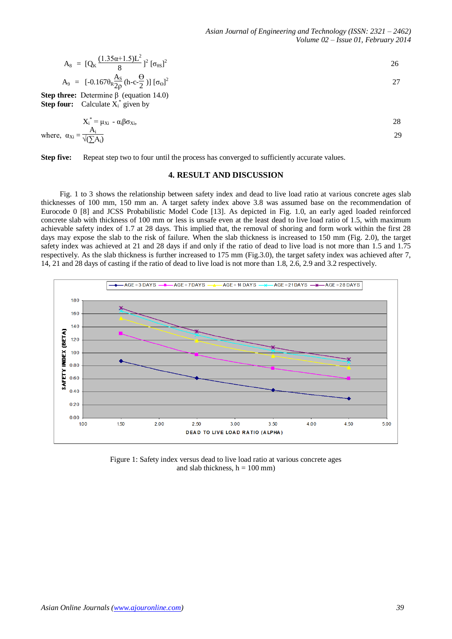$$
A_8 = [Q_K \frac{(1.35\alpha + 1.5)L^2}{8}]^2 [\sigma_{0s}]^2
$$
  
\n
$$
A_9 = [-0.167\theta_K \frac{A_S}{2\rho} (h - c\frac{\Theta}{2})] [\sigma_{\Theta}]^2
$$
  
\n**Step thnot. Determine B. (equation 14.0)**

**Step three:** Determine β (equation 14.0) **Step four:** Calculate  $X_i^*$  given by

$$
X_i^* = \mu_{Xi} - \alpha_i \beta \sigma_{Xi},
$$
  
where,  $\alpha_{Xi} = \frac{A_i}{\sqrt{(2A_i)}}$  29

**Step five:** Repeat step two to four until the process has converged to sufficiently accurate values.

## **4. RESULT AND DISCUSSION**

 Fig. 1 to 3 shows the relationship between safety index and dead to live load ratio at various concrete ages slab thicknesses of 100 mm, 150 mm an. A target safety index above 3.8 was assumed base on the recommendation of Eurocode 0 [8] and JCSS Probabilistic Model Code [13]. As depicted in Fig. 1.0, an early aged loaded reinforced concrete slab with thickness of 100 mm or less is unsafe even at the least dead to live load ratio of 1.5, with maximum achievable safety index of 1.7 at 28 days. This implied that, the removal of shoring and form work within the first 28 days may expose the slab to the risk of failure. When the slab thickness is increased to 150 mm (Fig. 2.0), the target safety index was achieved at 21 and 28 days if and only if the ratio of dead to live load is not more than 1.5 and 1.75 respectively. As the slab thickness is further increased to 175 mm (Fig.3.0), the target safety index was achieved after 7, 14, 21 and 28 days of casting if the ratio of dead to live load is not more than 1.8, 2.6, 2.9 and 3.2 respectively.



Figure 1: Safety index versus dead to live load ratio at various concrete ages and slab thickness,  $h = 100$  mm)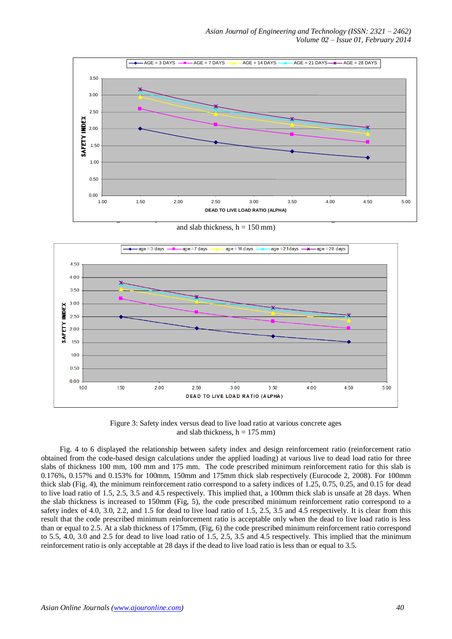

and slab thickness,  $h = 150$  mm)



Figure 3: Safety index versus dead to live load ratio at various concrete ages and slab thickness,  $h = 175$  mm)

 Fig. 4 to 6 displayed the relationship between safety index and design reinforcement ratio (reinforcement ratio obtained from the code-based design calculations under the applied loading) at various live to dead load ratio for three slabs of thickness 100 mm, 100 mm and 175 mm. The code prescribed minimum reinforcement ratio for this slab is 0.176%, 0.157% and 0.153% for 100mm, 150mm and 175mm thick slab respectively (Eurocode 2, 2008). For 100mm thick slab (Fig. 4), the minimum reinforcement ratio correspond to a safety indices of 1.25, 0.75, 0.25, and 0.15 for dead to live load ratio of 1.5, 2.5, 3.5 and 4.5 respectively. This implied that, a 100mm thick slab is unsafe at 28 days. When the slab thickness is increased to 150mm (Fig, 5), the code prescribed minimum reinforcement ratio correspond to a safety index of 4.0, 3.0, 2.2, and 1.5 for dead to live load ratio of 1.5, 2.5, 3.5 and 4.5 respectively. It is clear from this result that the code prescribed minimum reinforcement ratio is acceptable only when the dead to live load ratio is less than or equal to 2.5. At a slab thickness of 175mm, (Fig, 6) the code prescribed minimum reinforcement ratio correspond to 5.5, 4.0, 3.0 and 2.5 for dead to live load ratio of 1.5, 2.5, 3.5 and 4.5 respectively. This implied that the minimum reinforcement ratio is only acceptable at 28 days if the dead to live load ratio is less than or equal to 3.5.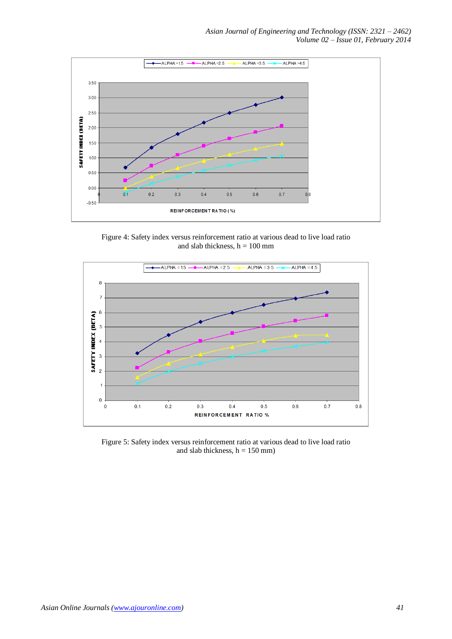

Figure 4: Safety index versus reinforcement ratio at various dead to live load ratio and slab thickness,  $h = 100$  mm



Figure 5: Safety index versus reinforcement ratio at various dead to live load ratio and slab thickness,  $h = 150$  mm)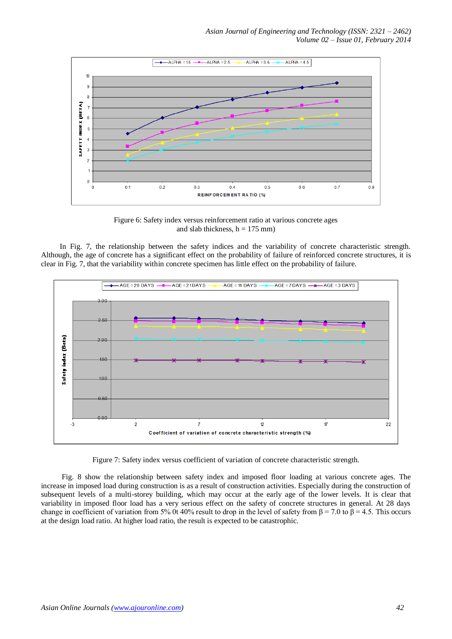

Figure 6: Safety index versus reinforcement ratio at various concrete ages and slab thickness,  $h = 175$  mm)

 In Fig. 7, the relationship between the safety indices and the variability of concrete characteristic strength. Although, the age of concrete has a significant effect on the probability of failure of reinforced concrete structures, it is clear in Fig. 7, that the variability within concrete specimen has little effect on the probability of failure.



Figure 7: Safety index versus coefficient of variation of concrete characteristic strength.

 Fig. 8 show the relationship between safety index and imposed floor loading at various concrete ages. The increase in imposed load during construction is as a result of construction activities. Especially during the construction of subsequent levels of a multi-storey building, which may occur at the early age of the lower levels. It is clear that variability in imposed floor load has a very serious effect on the safety of concrete structures in general. At 28 days change in coefficient of variation from 5% 0t 40% result to drop in the level of safety from  $\beta$  = 7.0 to  $\beta$  = 4.5. This occurs at the design load ratio. At higher load ratio, the result is expected to be catastrophic.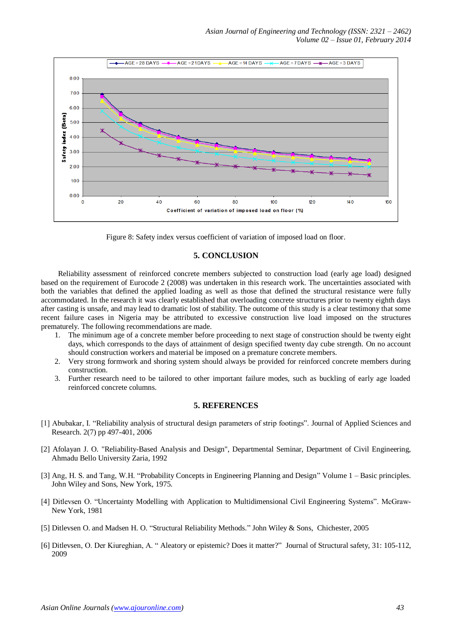

Figure 8: Safety index versus coefficient of variation of imposed load on floor.

## **5. CONCLUSION**

 Reliability assessment of reinforced concrete members subjected to construction load (early age load) designed based on the requirement of Eurocode 2 (2008) was undertaken in this research work. The uncertainties associated with both the variables that defined the applied loading as well as those that defined the structural resistance were fully accommodated. In the research it was clearly established that overloading concrete structures prior to twenty eighth days after casting is unsafe, and may lead to dramatic lost of stability. The outcome of this study is a clear testimony that some recent failure cases in Nigeria may be attributed to excessive construction live load imposed on the structures prematurely. The following recommendations are made.

- 1. The minimum age of a concrete member before proceeding to next stage of construction should be twenty eight days, which corresponds to the days of attainment of design specified twenty day cube strength. On no account should construction workers and material be imposed on a premature concrete members.
- 2. Very strong formwork and shoring system should always be provided for reinforced concrete members during construction.
- 3. Further research need to be tailored to other important failure modes, such as buckling of early age loaded reinforced concrete columns.

## **5. REFERENCES**

- [1] Abubakar, I. "Reliability analysis of structural design parameters of strip footings". Journal of Applied Sciences and Research. 2(7) pp 497-401, 2006
- [2] Afolayan J. O. "Reliability-Based Analysis and Design", Departmental Seminar, Department of Civil Engineering, Ahmadu Bello University Zaria, 1992
- [3] Ang, H. S. and Tang, W.H. "Probability Concepts in Engineering Planning and Design" Volume 1 Basic principles. John Wiley and Sons, New York, 1975.
- [4] Ditlevsen O. "Uncertainty Modelling with Application to Multidimensional Civil Engineering Systems". McGraw-New York, 1981
- [5] Ditlevsen O. and Madsen H. O. "Structural Reliability Methods." John Wiley & Sons, Chichester, 2005
- [6] Ditlevsen, O. Der Kiureghian, A. " Aleatory or epistemic? Does it matter?" Journal of Structural safety, 31: 105-112, 2009